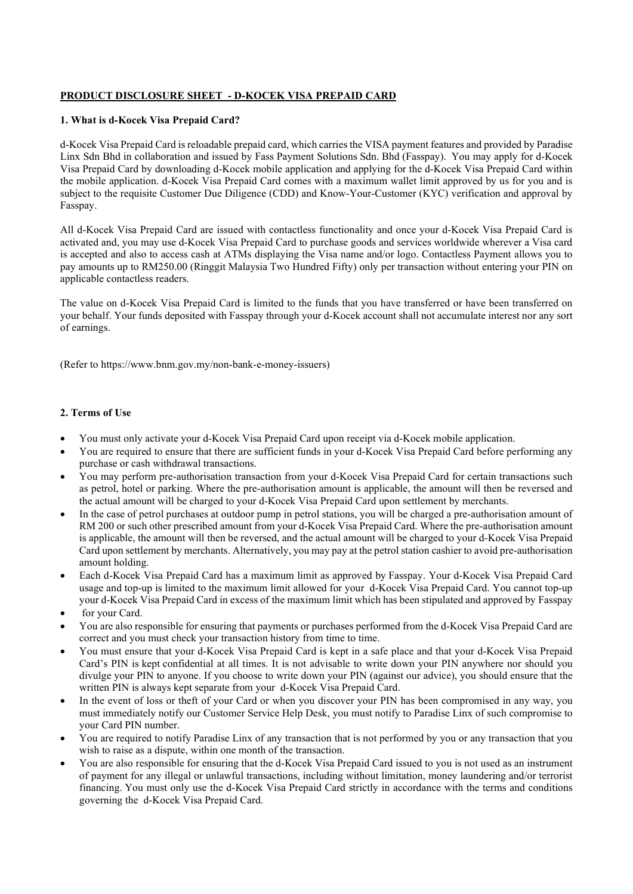# PRODUCT DISCLOSURE SHEET - D-KOCEK VISA PREPAID CARD

## 1. What is d-Kocek Visa Prepaid Card?

d-Kocek Visa Prepaid Card is reloadable prepaid card, which carries the VISA payment features and provided by Paradise Linx Sdn Bhd in collaboration and issued by Fass Payment Solutions Sdn. Bhd (Fasspay). You may apply for d-Kocek Visa Prepaid Card by downloading d-Kocek mobile application and applying for the d-Kocek Visa Prepaid Card within the mobile application. d-Kocek Visa Prepaid Card comes with a maximum wallet limit approved by us for you and is subject to the requisite Customer Due Diligence (CDD) and Know-Your-Customer (KYC) verification and approval by Fasspay.

All d-Kocek Visa Prepaid Card are issued with contactless functionality and once your d-Kocek Visa Prepaid Card is activated and, you may use d-Kocek Visa Prepaid Card to purchase goods and services worldwide wherever a Visa card is accepted and also to access cash at ATMs displaying the Visa name and/or logo. Contactless Payment allows you to pay amounts up to RM250.00 (Ringgit Malaysia Two Hundred Fifty) only per transaction without entering your PIN on applicable contactless readers.

The value on d-Kocek Visa Prepaid Card is limited to the funds that you have transferred or have been transferred on your behalf. Your funds deposited with Fasspay through your d-Kocek account shall not accumulate interest nor any sort of earnings.

(Refer to https://www.bnm.gov.my/non-bank-e-money-issuers)

# 2. Terms of Use

- You must only activate your d-Kocek Visa Prepaid Card upon receipt via d-Kocek mobile application.
- You are required to ensure that there are sufficient funds in your d-Kocek Visa Prepaid Card before performing any purchase or cash withdrawal transactions.
- You may perform pre-authorisation transaction from your d-Kocek Visa Prepaid Card for certain transactions such as petrol, hotel or parking. Where the pre-authorisation amount is applicable, the amount will then be reversed and the actual amount will be charged to your d-Kocek Visa Prepaid Card upon settlement by merchants.
- In the case of petrol purchases at outdoor pump in petrol stations, you will be charged a pre-authorisation amount of RM 200 or such other prescribed amount from your d-Kocek Visa Prepaid Card. Where the pre-authorisation amount is applicable, the amount will then be reversed, and the actual amount will be charged to your d-Kocek Visa Prepaid Card upon settlement by merchants. Alternatively, you may pay at the petrol station cashier to avoid pre-authorisation amount holding.
- Each d-Kocek Visa Prepaid Card has a maximum limit as approved by Fasspay. Your d-Kocek Visa Prepaid Card usage and top-up is limited to the maximum limit allowed for your d-Kocek Visa Prepaid Card. You cannot top-up your d-Kocek Visa Prepaid Card in excess of the maximum limit which has been stipulated and approved by Fasspay
- for your Card.
- You are also responsible for ensuring that payments or purchases performed from the d-Kocek Visa Prepaid Card are correct and you must check your transaction history from time to time.
- You must ensure that your d-Kocek Visa Prepaid Card is kept in a safe place and that your d-Kocek Visa Prepaid Card's PIN is kept confidential at all times. It is not advisable to write down your PIN anywhere nor should you divulge your PIN to anyone. If you choose to write down your PIN (against our advice), you should ensure that the written PIN is always kept separate from your d-Kocek Visa Prepaid Card.
- In the event of loss or theft of your Card or when you discover your PIN has been compromised in any way, you must immediately notify our Customer Service Help Desk, you must notify to Paradise Linx of such compromise to your Card PIN number.
- You are required to notify Paradise Linx of any transaction that is not performed by you or any transaction that you wish to raise as a dispute, within one month of the transaction.
- You are also responsible for ensuring that the d-Kocek Visa Prepaid Card issued to you is not used as an instrument of payment for any illegal or unlawful transactions, including without limitation, money laundering and/or terrorist financing. You must only use the d-Kocek Visa Prepaid Card strictly in accordance with the terms and conditions governing the d-Kocek Visa Prepaid Card.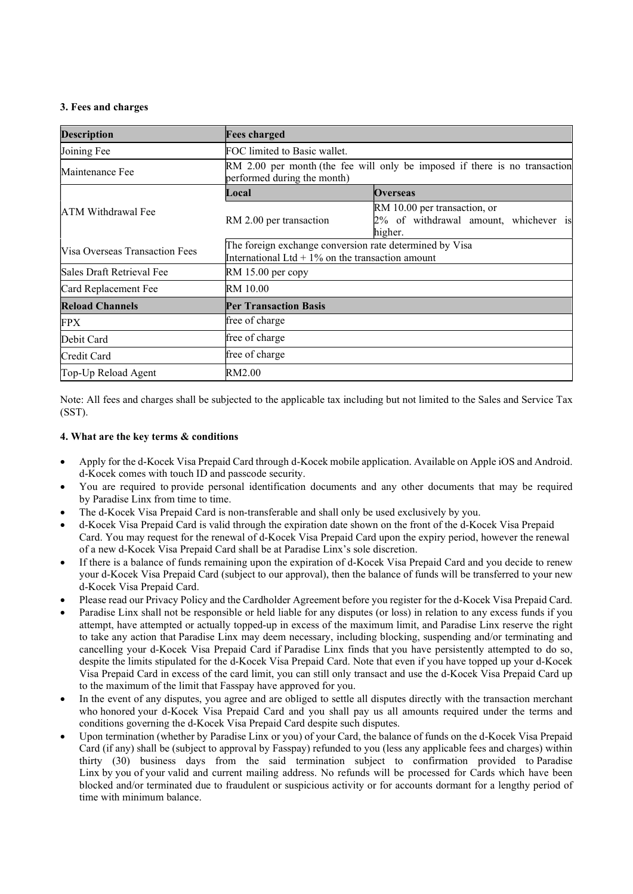### 3. Fees and charges

| <b>Description</b>             | <b>Fees charged</b>                                                                                           |                                                                                  |
|--------------------------------|---------------------------------------------------------------------------------------------------------------|----------------------------------------------------------------------------------|
| Joining Fee                    | FOC limited to Basic wallet.                                                                                  |                                                                                  |
| Maintenance Fee                | RM 2.00 per month (the fee will only be imposed if there is no transaction<br>performed during the month)     |                                                                                  |
| ATM Withdrawal Fee             | Local                                                                                                         | <b>Overseas</b>                                                                  |
|                                | RM 2.00 per transaction                                                                                       | RM 10.00 per transaction, or<br>2% of withdrawal amount, whichever is<br>higher. |
| Visa Overseas Transaction Fees | The foreign exchange conversion rate determined by Visa<br>International Ltd $+1\%$ on the transaction amount |                                                                                  |
| Sales Draft Retrieval Fee      | $RM$ 15.00 per copy                                                                                           |                                                                                  |
| Card Replacement Fee           | RM 10.00                                                                                                      |                                                                                  |
| <b>Reload Channels</b>         | <b>Per Transaction Basis</b>                                                                                  |                                                                                  |
| FPX                            | free of charge                                                                                                |                                                                                  |
| Debit Card                     | free of charge                                                                                                |                                                                                  |
| Credit Card                    | free of charge                                                                                                |                                                                                  |
| Top-Up Reload Agent            | RM2.00                                                                                                        |                                                                                  |

Note: All fees and charges shall be subjected to the applicable tax including but not limited to the Sales and Service Tax (SST).

#### 4. What are the key terms & conditions

- Apply for the d-Kocek Visa Prepaid Card through d-Kocek mobile application. Available on Apple iOS and Android. d-Kocek comes with touch ID and passcode security.
- You are required to provide personal identification documents and any other documents that may be required by Paradise Linx from time to time.
- The d-Kocek Visa Prepaid Card is non-transferable and shall only be used exclusively by you.
- d-Kocek Visa Prepaid Card is valid through the expiration date shown on the front of the d-Kocek Visa Prepaid Card. You may request for the renewal of d-Kocek Visa Prepaid Card upon the expiry period, however the renewal of a new d-Kocek Visa Prepaid Card shall be at Paradise Linx's sole discretion.
- If there is a balance of funds remaining upon the expiration of d-Kocek Visa Prepaid Card and you decide to renew your d-Kocek Visa Prepaid Card (subject to our approval), then the balance of funds will be transferred to your new d-Kocek Visa Prepaid Card.
- Please read our Privacy Policy and the Cardholder Agreement before you register for the d-Kocek Visa Prepaid Card.
- Paradise Linx shall not be responsible or held liable for any disputes (or loss) in relation to any excess funds if you attempt, have attempted or actually topped-up in excess of the maximum limit, and Paradise Linx reserve the right to take any action that Paradise Linx may deem necessary, including blocking, suspending and/or terminating and cancelling your d-Kocek Visa Prepaid Card if Paradise Linx finds that you have persistently attempted to do so, despite the limits stipulated for the d-Kocek Visa Prepaid Card. Note that even if you have topped up your d-Kocek Visa Prepaid Card in excess of the card limit, you can still only transact and use the d-Kocek Visa Prepaid Card up to the maximum of the limit that Fasspay have approved for you.
- In the event of any disputes, you agree and are obliged to settle all disputes directly with the transaction merchant who honored your d-Kocek Visa Prepaid Card and you shall pay us all amounts required under the terms and conditions governing the d-Kocek Visa Prepaid Card despite such disputes.
- Upon termination (whether by Paradise Linx or you) of your Card, the balance of funds on the d-Kocek Visa Prepaid Card (if any) shall be (subject to approval by Fasspay) refunded to you (less any applicable fees and charges) within thirty (30) business days from the said termination subject to confirmation provided to Paradise Linx by you of your valid and current mailing address. No refunds will be processed for Cards which have been blocked and/or terminated due to fraudulent or suspicious activity or for accounts dormant for a lengthy period of time with minimum balance.